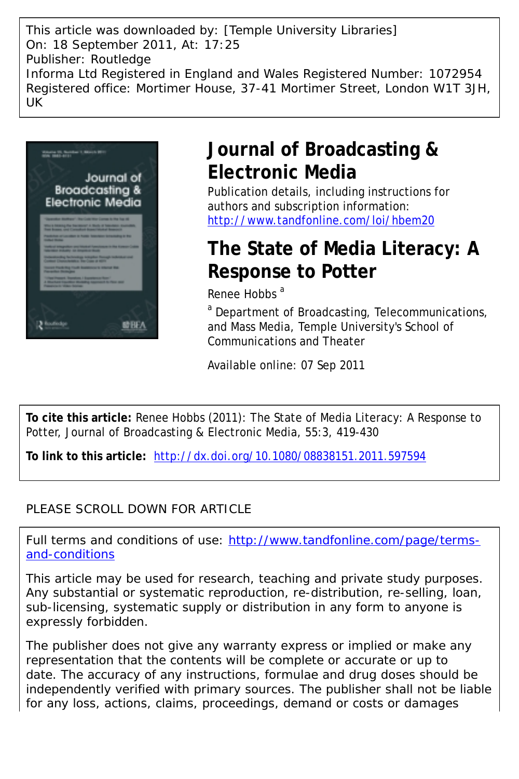This article was downloaded by: [Temple University Libraries] On: 18 September 2011, At: 17:25 Publisher: Routledge Informa Ltd Registered in England and Wales Registered Number: 1072954 Registered office: Mortimer House, 37-41 Mortimer Street, London W1T 3JH, UK



## **Journal of Broadcasting & Electronic Media**

Publication details, including instructions for authors and subscription information: <http://www.tandfonline.com/loi/hbem20>

# **The State of Media Literacy: A Response to Potter**

Renee Hobbs<sup>a</sup>

<sup>a</sup> Department of Broadcasting, Telecommunications, and Mass Media, Temple University's School of Communications and Theater

Available online: 07 Sep 2011

**To cite this article:** Renee Hobbs (2011): The State of Media Literacy: A Response to Potter, Journal of Broadcasting & Electronic Media, 55:3, 419-430

**To link to this article:** <http://dx.doi.org/10.1080/08838151.2011.597594>

## PLEASE SCROLL DOWN FOR ARTICLE

Full terms and conditions of use: [http://www.tandfonline.com/page/terms](http://www.tandfonline.com/page/terms-and-conditions)[and-conditions](http://www.tandfonline.com/page/terms-and-conditions)

This article may be used for research, teaching and private study purposes. Any substantial or systematic reproduction, re-distribution, re-selling, loan, sub-licensing, systematic supply or distribution in any form to anyone is expressly forbidden.

The publisher does not give any warranty express or implied or make any representation that the contents will be complete or accurate or up to date. The accuracy of any instructions, formulae and drug doses should be independently verified with primary sources. The publisher shall not be liable for any loss, actions, claims, proceedings, demand or costs or damages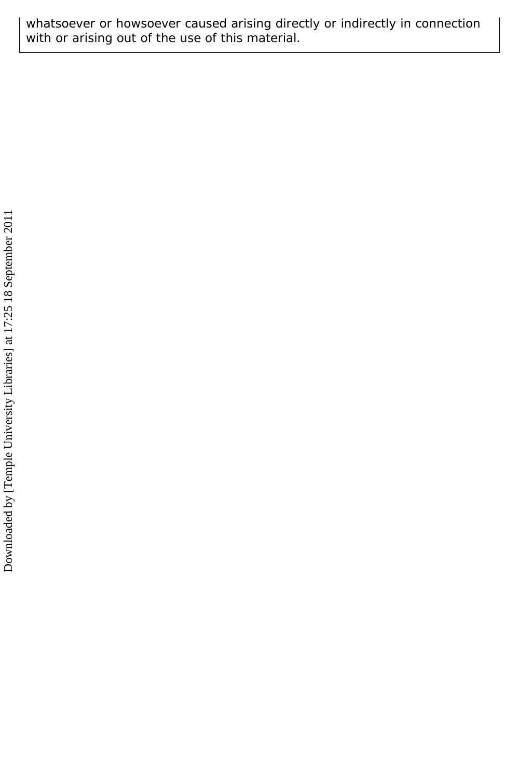whatsoever or howsoever caused arising directly or indirectly in connection with or arising out of the use of this material.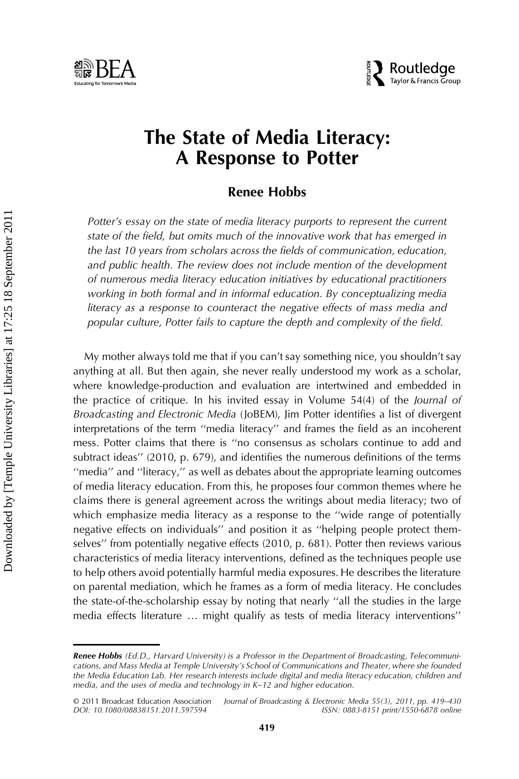

## The State of Media Literacy: A Response to Potter

## Renee Hobbs

Potter's essay on the state of media literacy purports to represent the current state of the field, but omits much of the innovative work that has emerged in the last 10 years from scholars across the fields of communication, education, and public health. The review does not include mention of the development of numerous media literacy education initiatives by educational practitioners working in both formal and in informal education. By conceptualizing media literacy as a response to counteract the negative effects of mass media and popular culture, Potter fails to capture the depth and complexity of the field.

My mother always told me that if you can't say something nice, you shouldn't say anything at all. But then again, she never really understood my work as a scholar, where knowledge-production and evaluation are intertwined and embedded in the practice of critique. In his invited essay in Volume 54(4) of the Journal of Broadcasting and Electronic Media (JoBEM), Jim Potter identifies a list of divergent interpretations of the term ''media literacy'' and frames the field as an incoherent mess. Potter claims that there is ''no consensus as scholars continue to add and subtract ideas'' (2010, p. 679), and identifies the numerous definitions of the terms ''media'' and ''literacy,'' as well as debates about the appropriate learning outcomes of media literacy education. From this, he proposes four common themes where he claims there is general agreement across the writings about media literacy; two of which emphasize media literacy as a response to the ''wide range of potentially negative effects on individuals'' and position it as ''helping people protect themselves'' from potentially negative effects (2010, p. 681). Potter then reviews various characteristics of media literacy interventions, defined as the techniques people use to help others avoid potentially harmful media exposures. He describes the literature on parental mediation, which he frames as a form of media literacy. He concludes the state-of-the-scholarship essay by noting that nearly ''all the studies in the large media effects literature … might qualify as tests of media literacy interventions''

**SEA** 

Renee Hobbs (Ed.D., Harvard University) is a Professor in the Department of Broadcasting, Telecommunications, and Mass Media at Temple University's School of Communications and Theater, where she founded the Media Education Lab. Her research interests include digital and media literacy education, children and media, and the uses of media and technology in K–12 and higher education.

<sup>©</sup> 2011 Broadcast Education Association Journal of Broadcasting & Electronic Media 55(3), 2011, pp. 419–430 ISSN: 0883-8151 print/1550-6878 online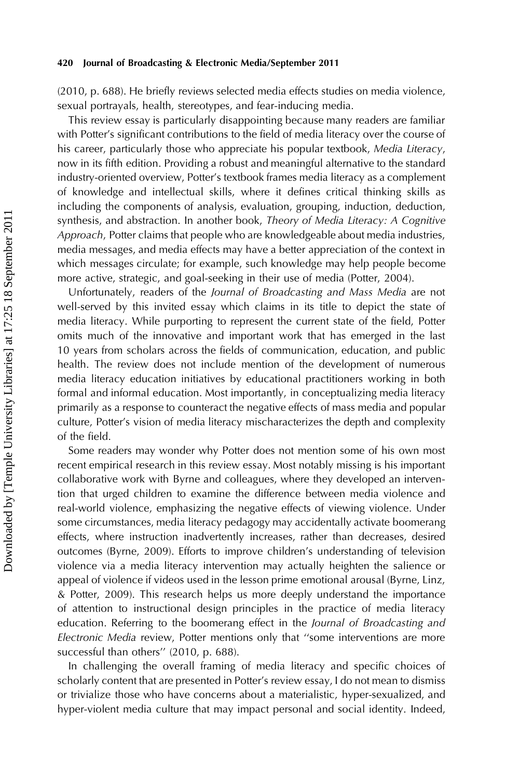(2010, p. 688). He briefly reviews selected media effects studies on media violence, sexual portrayals, health, stereotypes, and fear-inducing media.

This review essay is particularly disappointing because many readers are familiar with Potter's significant contributions to the field of media literacy over the course of his career, particularly those who appreciate his popular textbook, Media Literacy, now in its fifth edition. Providing a robust and meaningful alternative to the standard industry-oriented overview, Potter's textbook frames media literacy as a complement of knowledge and intellectual skills, where it defines critical thinking skills as including the components of analysis, evaluation, grouping, induction, deduction, synthesis, and abstraction. In another book, Theory of Media Literacy: A Cognitive Approach, Potter claims that people who are knowledgeable about media industries, media messages, and media effects may have a better appreciation of the context in which messages circulate; for example, such knowledge may help people become more active, strategic, and goal-seeking in their use of media (Potter, 2004).

Unfortunately, readers of the Journal of Broadcasting and Mass Media are not well-served by this invited essay which claims in its title to depict the state of media literacy. While purporting to represent the current state of the field, Potter omits much of the innovative and important work that has emerged in the last 10 years from scholars across the fields of communication, education, and public health. The review does not include mention of the development of numerous media literacy education initiatives by educational practitioners working in both formal and informal education. Most importantly, in conceptualizing media literacy primarily as a response to counteract the negative effects of mass media and popular culture, Potter's vision of media literacy mischaracterizes the depth and complexity of the field.

Some readers may wonder why Potter does not mention some of his own most recent empirical research in this review essay. Most notably missing is his important collaborative work with Byrne and colleagues, where they developed an intervention that urged children to examine the difference between media violence and real-world violence, emphasizing the negative effects of viewing violence. Under some circumstances, media literacy pedagogy may accidentally activate boomerang effects, where instruction inadvertently increases, rather than decreases, desired outcomes (Byrne, 2009). Efforts to improve children's understanding of television violence via a media literacy intervention may actually heighten the salience or appeal of violence if videos used in the lesson prime emotional arousal (Byrne, Linz, & Potter, 2009). This research helps us more deeply understand the importance of attention to instructional design principles in the practice of media literacy education. Referring to the boomerang effect in the Journal of Broadcasting and Electronic Media review, Potter mentions only that ''some interventions are more successful than others'' (2010, p. 688).

In challenging the overall framing of media literacy and specific choices of scholarly content that are presented in Potter's review essay, I do not mean to dismiss or trivialize those who have concerns about a materialistic, hyper-sexualized, and hyper-violent media culture that may impact personal and social identity. Indeed,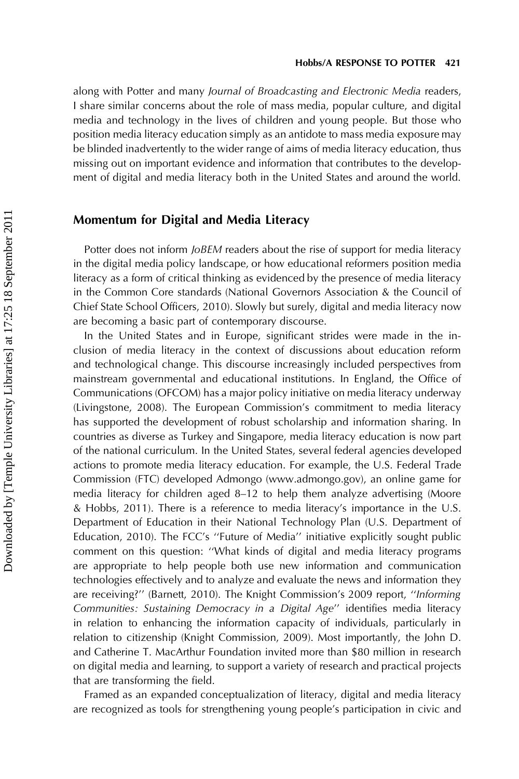along with Potter and many Journal of Broadcasting and Electronic Media readers, I share similar concerns about the role of mass media, popular culture, and digital media and technology in the lives of children and young people. But those who position media literacy education simply as an antidote to mass media exposure may be blinded inadvertently to the wider range of aims of media literacy education, thus missing out on important evidence and information that contributes to the development of digital and media literacy both in the United States and around the world.

### Momentum for Digital and Media Literacy

Potter does not inform *JoBEM* readers about the rise of support for media literacy in the digital media policy landscape, or how educational reformers position media literacy as a form of critical thinking as evidenced by the presence of media literacy in the Common Core standards (National Governors Association & the Council of Chief State School Officers, 2010). Slowly but surely, digital and media literacy now are becoming a basic part of contemporary discourse.

In the United States and in Europe, significant strides were made in the inclusion of media literacy in the context of discussions about education reform and technological change. This discourse increasingly included perspectives from mainstream governmental and educational institutions. In England, the Office of Communications (OFCOM) has a major policy initiative on media literacy underway (Livingstone, 2008). The European Commission's commitment to media literacy has supported the development of robust scholarship and information sharing. In countries as diverse as Turkey and Singapore, media literacy education is now part of the national curriculum. In the United States, several federal agencies developed actions to promote media literacy education. For example, the U.S. Federal Trade Commission (FTC) developed Admongo (www.admongo.gov), an online game for media literacy for children aged 8–12 to help them analyze advertising (Moore & Hobbs, 2011). There is a reference to media literacy's importance in the U.S. Department of Education in their National Technology Plan (U.S. Department of Education, 2010). The FCC's ''Future of Media'' initiative explicitly sought public comment on this question: ''What kinds of digital and media literacy programs are appropriate to help people both use new information and communication technologies effectively and to analyze and evaluate the news and information they are receiving?'' (Barnett, 2010). The Knight Commission's 2009 report, ''Informing Communities: Sustaining Democracy in a Digital Age'' identifies media literacy in relation to enhancing the information capacity of individuals, particularly in relation to citizenship (Knight Commission, 2009). Most importantly, the John D. and Catherine T. MacArthur Foundation invited more than \$80 million in research on digital media and learning, to support a variety of research and practical projects that are transforming the field.

Framed as an expanded conceptualization of literacy, digital and media literacy are recognized as tools for strengthening young people's participation in civic and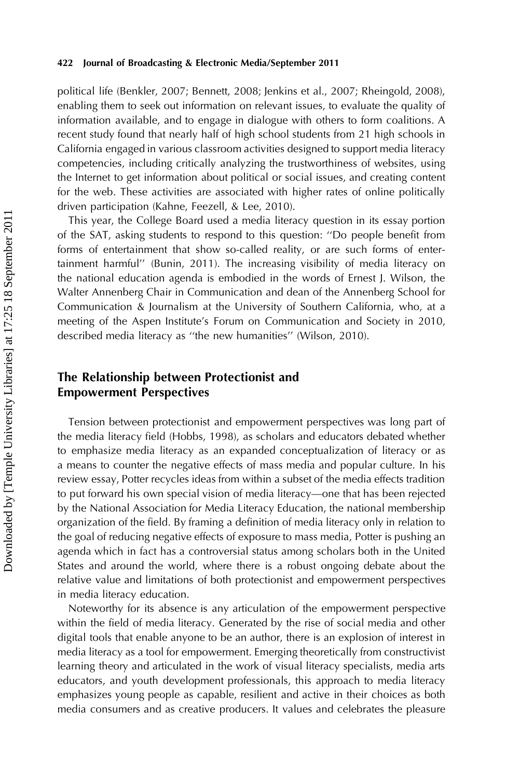political life (Benkler, 2007; Bennett, 2008; Jenkins et al., 2007; Rheingold, 2008), enabling them to seek out information on relevant issues, to evaluate the quality of information available, and to engage in dialogue with others to form coalitions. A recent study found that nearly half of high school students from 21 high schools in California engaged in various classroom activities designed to support media literacy competencies, including critically analyzing the trustworthiness of websites, using the Internet to get information about political or social issues, and creating content for the web. These activities are associated with higher rates of online politically driven participation (Kahne, Feezell, & Lee, 2010).

This year, the College Board used a media literacy question in its essay portion of the SAT, asking students to respond to this question: ''Do people benefit from forms of entertainment that show so-called reality, or are such forms of entertainment harmful'' (Bunin, 2011). The increasing visibility of media literacy on the national education agenda is embodied in the words of Ernest J. Wilson, the Walter Annenberg Chair in Communication and dean of the Annenberg School for Communication & Journalism at the University of Southern California, who, at a meeting of the Aspen Institute's Forum on Communication and Society in 2010, described media literacy as ''the new humanities'' (Wilson, 2010).

## The Relationship between Protectionist and Empowerment Perspectives

Tension between protectionist and empowerment perspectives was long part of the media literacy field (Hobbs, 1998), as scholars and educators debated whether to emphasize media literacy as an expanded conceptualization of literacy or as a means to counter the negative effects of mass media and popular culture. In his review essay, Potter recycles ideas from within a subset of the media effects tradition to put forward his own special vision of media literacy—one that has been rejected by the National Association for Media Literacy Education, the national membership organization of the field. By framing a definition of media literacy only in relation to the goal of reducing negative effects of exposure to mass media, Potter is pushing an agenda which in fact has a controversial status among scholars both in the United States and around the world, where there is a robust ongoing debate about the relative value and limitations of both protectionist and empowerment perspectives in media literacy education.

Noteworthy for its absence is any articulation of the empowerment perspective within the field of media literacy. Generated by the rise of social media and other digital tools that enable anyone to be an author, there is an explosion of interest in media literacy as a tool for empowerment. Emerging theoretically from constructivist learning theory and articulated in the work of visual literacy specialists, media arts educators, and youth development professionals, this approach to media literacy emphasizes young people as capable, resilient and active in their choices as both media consumers and as creative producers. It values and celebrates the pleasure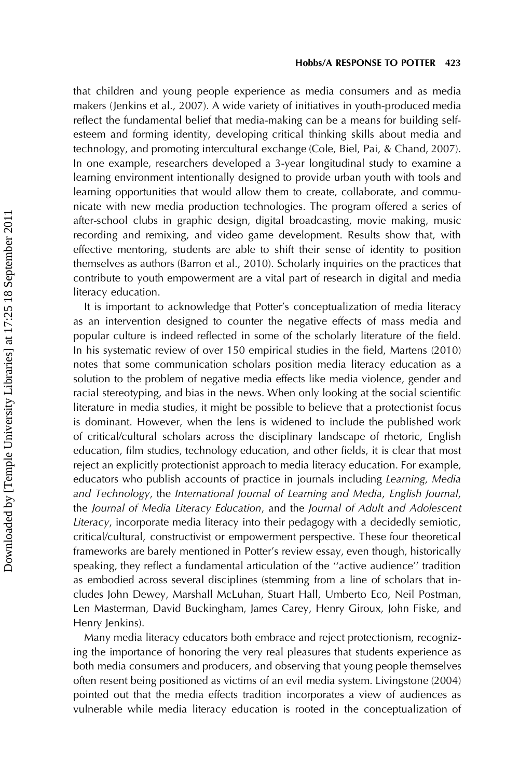that children and young people experience as media consumers and as media makers (Jenkins et al., 2007). A wide variety of initiatives in youth-produced media reflect the fundamental belief that media-making can be a means for building selfesteem and forming identity, developing critical thinking skills about media and technology, and promoting intercultural exchange (Cole, Biel, Pai, & Chand, 2007). In one example, researchers developed a 3-year longitudinal study to examine a learning environment intentionally designed to provide urban youth with tools and learning opportunities that would allow them to create, collaborate, and communicate with new media production technologies. The program offered a series of after-school clubs in graphic design, digital broadcasting, movie making, music recording and remixing, and video game development. Results show that, with effective mentoring, students are able to shift their sense of identity to position themselves as authors (Barron et al., 2010). Scholarly inquiries on the practices that contribute to youth empowerment are a vital part of research in digital and media literacy education.

It is important to acknowledge that Potter's conceptualization of media literacy as an intervention designed to counter the negative effects of mass media and popular culture is indeed reflected in some of the scholarly literature of the field. In his systematic review of over 150 empirical studies in the field, Martens (2010) notes that some communication scholars position media literacy education as a solution to the problem of negative media effects like media violence, gender and racial stereotyping, and bias in the news. When only looking at the social scientific literature in media studies, it might be possible to believe that a protectionist focus is dominant. However, when the lens is widened to include the published work of critical/cultural scholars across the disciplinary landscape of rhetoric, English education, film studies, technology education, and other fields, it is clear that most reject an explicitly protectionist approach to media literacy education. For example, educators who publish accounts of practice in journals including Learning, Media and Technology, the International Journal of Learning and Media, English Journal, the Journal of Media Literacy Education, and the Journal of Adult and Adolescent Literacy, incorporate media literacy into their pedagogy with a decidedly semiotic, critical/cultural, constructivist or empowerment perspective. These four theoretical frameworks are barely mentioned in Potter's review essay, even though, historically speaking, they reflect a fundamental articulation of the ''active audience'' tradition as embodied across several disciplines (stemming from a line of scholars that includes John Dewey, Marshall McLuhan, Stuart Hall, Umberto Eco, Neil Postman, Len Masterman, David Buckingham, James Carey, Henry Giroux, John Fiske, and Henry Jenkins).

Many media literacy educators both embrace and reject protectionism, recognizing the importance of honoring the very real pleasures that students experience as both media consumers and producers, and observing that young people themselves often resent being positioned as victims of an evil media system. Livingstone (2004) pointed out that the media effects tradition incorporates a view of audiences as vulnerable while media literacy education is rooted in the conceptualization of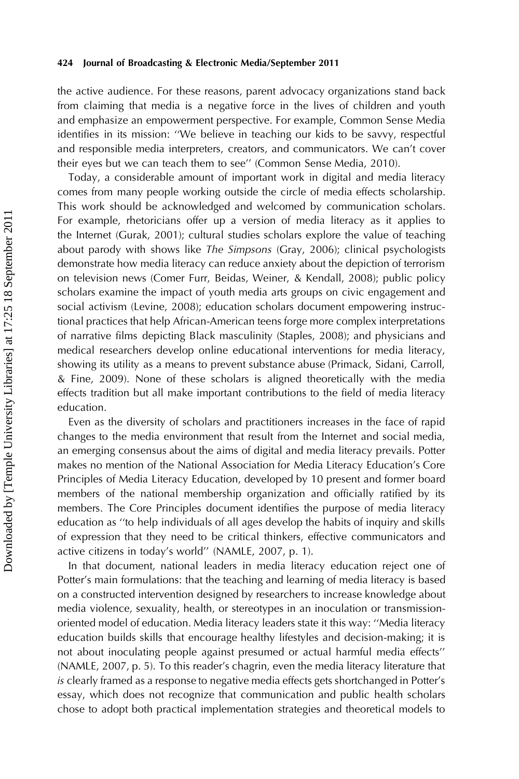the active audience. For these reasons, parent advocacy organizations stand back from claiming that media is a negative force in the lives of children and youth and emphasize an empowerment perspective. For example, Common Sense Media identifies in its mission: ''We believe in teaching our kids to be savvy, respectful and responsible media interpreters, creators, and communicators. We can't cover their eyes but we can teach them to see'' (Common Sense Media, 2010).

Today, a considerable amount of important work in digital and media literacy comes from many people working outside the circle of media effects scholarship. This work should be acknowledged and welcomed by communication scholars. For example, rhetoricians offer up a version of media literacy as it applies to the Internet (Gurak, 2001); cultural studies scholars explore the value of teaching about parody with shows like The Simpsons (Gray, 2006); clinical psychologists demonstrate how media literacy can reduce anxiety about the depiction of terrorism on television news (Comer Furr, Beidas, Weiner, & Kendall, 2008); public policy scholars examine the impact of youth media arts groups on civic engagement and social activism (Levine, 2008); education scholars document empowering instructional practices that help African-American teens forge more complex interpretations of narrative films depicting Black masculinity (Staples, 2008); and physicians and medical researchers develop online educational interventions for media literacy, showing its utility as a means to prevent substance abuse (Primack, Sidani, Carroll, & Fine, 2009). None of these scholars is aligned theoretically with the media effects tradition but all make important contributions to the field of media literacy education.

Even as the diversity of scholars and practitioners increases in the face of rapid changes to the media environment that result from the Internet and social media, an emerging consensus about the aims of digital and media literacy prevails. Potter makes no mention of the National Association for Media Literacy Education's Core Principles of Media Literacy Education, developed by 10 present and former board members of the national membership organization and officially ratified by its members. The Core Principles document identifies the purpose of media literacy education as ''to help individuals of all ages develop the habits of inquiry and skills of expression that they need to be critical thinkers, effective communicators and active citizens in today's world'' (NAMLE, 2007, p. 1).

In that document, national leaders in media literacy education reject one of Potter's main formulations: that the teaching and learning of media literacy is based on a constructed intervention designed by researchers to increase knowledge about media violence, sexuality, health, or stereotypes in an inoculation or transmissionoriented model of education. Media literacy leaders state it this way: ''Media literacy education builds skills that encourage healthy lifestyles and decision-making; it is not about inoculating people against presumed or actual harmful media effects'' (NAMLE, 2007, p. 5). To this reader's chagrin, even the media literacy literature that is clearly framed as a response to negative media effects gets shortchanged in Potter's essay, which does not recognize that communication and public health scholars chose to adopt both practical implementation strategies and theoretical models to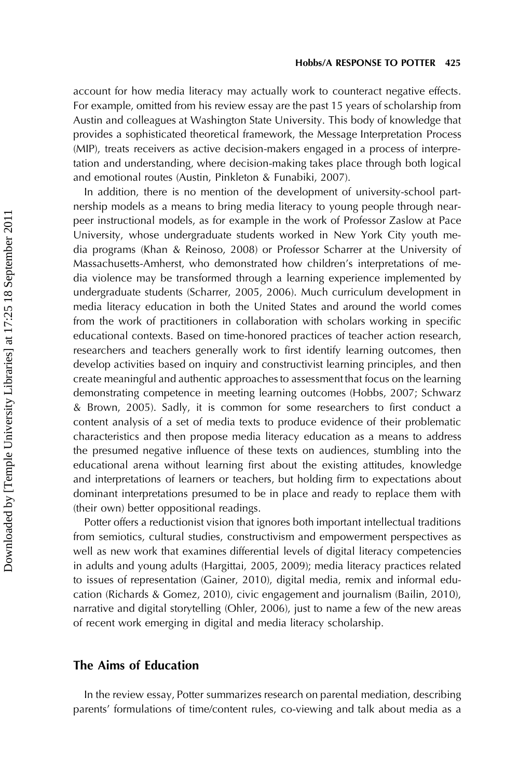account for how media literacy may actually work to counteract negative effects. For example, omitted from his review essay are the past 15 years of scholarship from Austin and colleagues at Washington State University. This body of knowledge that provides a sophisticated theoretical framework, the Message Interpretation Process (MIP), treats receivers as active decision-makers engaged in a process of interpretation and understanding, where decision-making takes place through both logical and emotional routes (Austin, Pinkleton & Funabiki, 2007).

In addition, there is no mention of the development of university-school partnership models as a means to bring media literacy to young people through nearpeer instructional models, as for example in the work of Professor Zaslow at Pace University, whose undergraduate students worked in New York City youth media programs (Khan & Reinoso, 2008) or Professor Scharrer at the University of Massachusetts-Amherst, who demonstrated how children's interpretations of media violence may be transformed through a learning experience implemented by undergraduate students (Scharrer, 2005, 2006). Much curriculum development in media literacy education in both the United States and around the world comes from the work of practitioners in collaboration with scholars working in specific educational contexts. Based on time-honored practices of teacher action research, researchers and teachers generally work to first identify learning outcomes, then develop activities based on inquiry and constructivist learning principles, and then create meaningful and authentic approaches to assessment that focus on the learning demonstrating competence in meeting learning outcomes (Hobbs, 2007; Schwarz & Brown, 2005). Sadly, it is common for some researchers to first conduct a content analysis of a set of media texts to produce evidence of their problematic characteristics and then propose media literacy education as a means to address the presumed negative influence of these texts on audiences, stumbling into the educational arena without learning first about the existing attitudes, knowledge and interpretations of learners or teachers, but holding firm to expectations about dominant interpretations presumed to be in place and ready to replace them with (their own) better oppositional readings.

Potter offers a reductionist vision that ignores both important intellectual traditions from semiotics, cultural studies, constructivism and empowerment perspectives as well as new work that examines differential levels of digital literacy competencies in adults and young adults (Hargittai, 2005, 2009); media literacy practices related to issues of representation (Gainer, 2010), digital media, remix and informal education (Richards & Gomez, 2010), civic engagement and journalism (Bailin, 2010), narrative and digital storytelling (Ohler, 2006), just to name a few of the new areas of recent work emerging in digital and media literacy scholarship.

## The Aims of Education

In the review essay, Potter summarizes research on parental mediation, describing parents' formulations of time/content rules, co-viewing and talk about media as a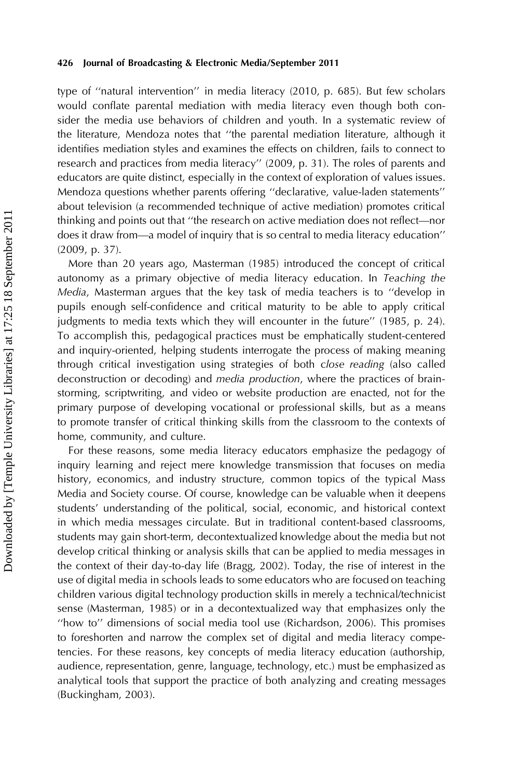type of ''natural intervention'' in media literacy (2010, p. 685). But few scholars would conflate parental mediation with media literacy even though both consider the media use behaviors of children and youth. In a systematic review of the literature, Mendoza notes that ''the parental mediation literature, although it identifies mediation styles and examines the effects on children, fails to connect to research and practices from media literacy'' (2009, p. 31). The roles of parents and educators are quite distinct, especially in the context of exploration of values issues. Mendoza questions whether parents offering ''declarative, value-laden statements'' about television (a recommended technique of active mediation) promotes critical thinking and points out that ''the research on active mediation does not reflect—nor does it draw from—a model of inquiry that is so central to media literacy education'' (2009, p. 37).

More than 20 years ago, Masterman (1985) introduced the concept of critical autonomy as a primary objective of media literacy education. In Teaching the Media, Masterman argues that the key task of media teachers is to ''develop in pupils enough self-confidence and critical maturity to be able to apply critical judgments to media texts which they will encounter in the future" (1985, p. 24). To accomplish this, pedagogical practices must be emphatically student-centered and inquiry-oriented, helping students interrogate the process of making meaning through critical investigation using strategies of both close reading (also called deconstruction or decoding) and media production, where the practices of brainstorming, scriptwriting, and video or website production are enacted, not for the primary purpose of developing vocational or professional skills, but as a means to promote transfer of critical thinking skills from the classroom to the contexts of home, community, and culture.

For these reasons, some media literacy educators emphasize the pedagogy of inquiry learning and reject mere knowledge transmission that focuses on media history, economics, and industry structure, common topics of the typical Mass Media and Society course. Of course, knowledge can be valuable when it deepens students' understanding of the political, social, economic, and historical context in which media messages circulate. But in traditional content-based classrooms, students may gain short-term, decontextualized knowledge about the media but not develop critical thinking or analysis skills that can be applied to media messages in the context of their day-to-day life (Bragg, 2002). Today, the rise of interest in the use of digital media in schools leads to some educators who are focused on teaching children various digital technology production skills in merely a technical/technicist sense (Masterman, 1985) or in a decontextualized way that emphasizes only the ''how to'' dimensions of social media tool use (Richardson, 2006). This promises to foreshorten and narrow the complex set of digital and media literacy competencies. For these reasons, key concepts of media literacy education (authorship, audience, representation, genre, language, technology, etc.) must be emphasized as analytical tools that support the practice of both analyzing and creating messages (Buckingham, 2003).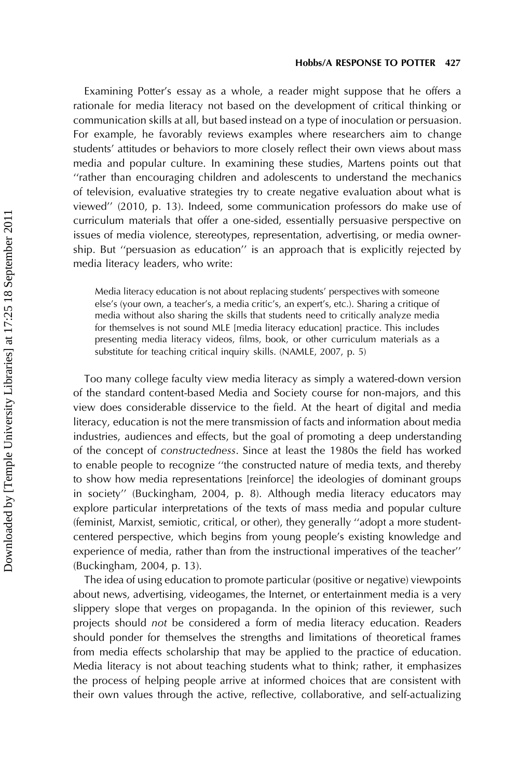#### Hobbs/A RESPONSE TO POTTER 427

Examining Potter's essay as a whole, a reader might suppose that he offers a rationale for media literacy not based on the development of critical thinking or communication skills at all, but based instead on a type of inoculation or persuasion. For example, he favorably reviews examples where researchers aim to change students' attitudes or behaviors to more closely reflect their own views about mass media and popular culture. In examining these studies, Martens points out that ''rather than encouraging children and adolescents to understand the mechanics of television, evaluative strategies try to create negative evaluation about what is viewed'' (2010, p. 13). Indeed, some communication professors do make use of curriculum materials that offer a one-sided, essentially persuasive perspective on issues of media violence, stereotypes, representation, advertising, or media ownership. But ''persuasion as education'' is an approach that is explicitly rejected by media literacy leaders, who write:

Media literacy education is not about replacing students' perspectives with someone else's (your own, a teacher's, a media critic's, an expert's, etc.). Sharing a critique of media without also sharing the skills that students need to critically analyze media for themselves is not sound MLE [media literacy education] practice. This includes presenting media literacy videos, films, book, or other curriculum materials as a substitute for teaching critical inquiry skills. (NAMLE, 2007, p. 5)

Too many college faculty view media literacy as simply a watered-down version of the standard content-based Media and Society course for non-majors, and this view does considerable disservice to the field. At the heart of digital and media literacy, education is not the mere transmission of facts and information about media industries, audiences and effects, but the goal of promoting a deep understanding of the concept of constructedness. Since at least the 1980s the field has worked to enable people to recognize ''the constructed nature of media texts, and thereby to show how media representations [reinforce] the ideologies of dominant groups in society'' (Buckingham, 2004, p. 8). Although media literacy educators may explore particular interpretations of the texts of mass media and popular culture (feminist, Marxist, semiotic, critical, or other), they generally ''adopt a more studentcentered perspective, which begins from young people's existing knowledge and experience of media, rather than from the instructional imperatives of the teacher'' (Buckingham, 2004, p. 13).

The idea of using education to promote particular (positive or negative) viewpoints about news, advertising, videogames, the Internet, or entertainment media is a very slippery slope that verges on propaganda. In the opinion of this reviewer, such projects should not be considered a form of media literacy education. Readers should ponder for themselves the strengths and limitations of theoretical frames from media effects scholarship that may be applied to the practice of education. Media literacy is not about teaching students what to think; rather, it emphasizes the process of helping people arrive at informed choices that are consistent with their own values through the active, reflective, collaborative, and self-actualizing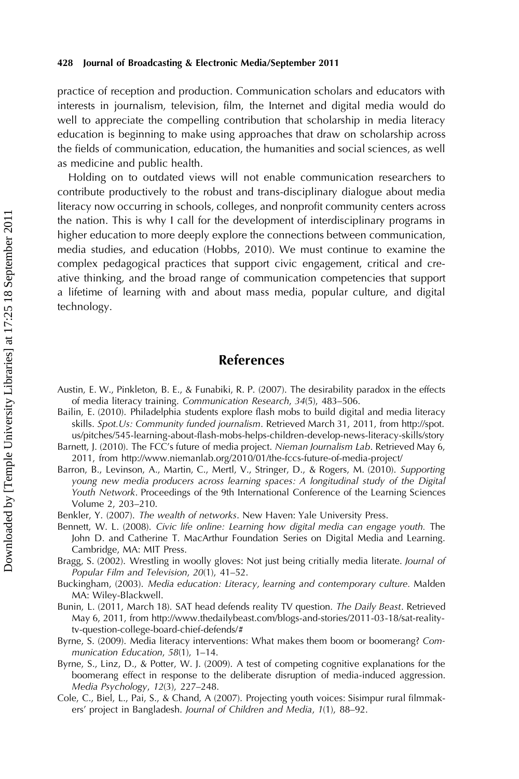practice of reception and production. Communication scholars and educators with interests in journalism, television, film, the Internet and digital media would do well to appreciate the compelling contribution that scholarship in media literacy education is beginning to make using approaches that draw on scholarship across the fields of communication, education, the humanities and social sciences, as well as medicine and public health.

Holding on to outdated views will not enable communication researchers to contribute productively to the robust and trans-disciplinary dialogue about media literacy now occurring in schools, colleges, and nonprofit community centers across the nation. This is why I call for the development of interdisciplinary programs in higher education to more deeply explore the connections between communication, media studies, and education (Hobbs, 2010). We must continue to examine the complex pedagogical practices that support civic engagement, critical and creative thinking, and the broad range of communication competencies that support a lifetime of learning with and about mass media, popular culture, and digital technology.

## References

- Austin, E. W., Pinkleton, B. E., & Funabiki, R. P. (2007). The desirability paradox in the effects of media literacy training. Communication Research, 34(5), 483–506.
- Bailin, E. (2010). Philadelphia students explore flash mobs to build digital and media literacy skills. Spot.Us: Community funded journalism. Retrieved March 31, 2011, from http://spot. us/pitches/545-learning-about-flash-mobs-helps-children-develop-news-literacy-skills/story
- Barnett, J. (2010). The FCC's future of media project. Nieman Journalism Lab. Retrieved May 6, 2011, from http://www.niemanlab.org/2010/01/the-fccs-future-of-media-project/
- Barron, B., Levinson, A., Martin, C., Mertl, V., Stringer, D., & Rogers, M. (2010). Supporting young new media producers across learning spaces: A longitudinal study of the Digital Youth Network. Proceedings of the 9th International Conference of the Learning Sciences Volume 2, 203–210.
- Benkler, Y. (2007). The wealth of networks. New Haven: Yale University Press.
- Bennett, W. L. (2008). Civic life online: Learning how digital media can engage youth. The John D. and Catherine T. MacArthur Foundation Series on Digital Media and Learning. Cambridge, MA: MIT Press.
- Bragg, S. (2002). Wrestling in woolly gloves: Not just being critially media literate. Journal of Popular Film and Television, 20(1), 41–52.
- Buckingham, (2003). Media education: Literacy, learning and contemporary culture. Malden MA: Wiley-Blackwell.
- Bunin, L. (2011, March 18). SAT head defends reality TV question. The Daily Beast. Retrieved May 6, 2011, from http://www.thedailybeast.com/blogs-and-stories/2011-03-18/sat-realitytv-question-college-board-chief-defends/#
- Byrne, S. (2009). Media literacy interventions: What makes them boom or boomerang? Communication Education, 58(1), 1–14.
- Byrne, S., Linz, D., & Potter, W. J. (2009). A test of competing cognitive explanations for the boomerang effect in response to the deliberate disruption of media-induced aggression. Media Psychology, 12(3), 227–248.
- Cole, C., Biel, L., Pai, S., & Chand, A (2007). Projecting youth voices: Sisimpur rural filmmakers' project in Bangladesh. Journal of Children and Media, 1(1), 88–92.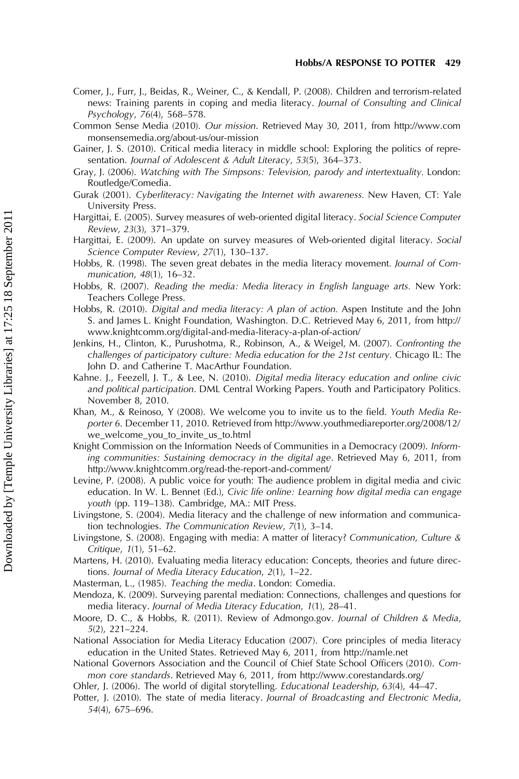- Comer, J., Furr, J., Beidas, R., Weiner, C., & Kendall, P. (2008). Children and terrorism-related news: Training parents in coping and media literacy. Journal of Consulting and Clinical Psychology, 76(4), 568–578.
- Common Sense Media (2010). Our mission. Retrieved May 30, 2011, from http://www.com monsensemedia.org/about-us/our-mission
- Gainer, J. S. (2010). Critical media literacy in middle school: Exploring the politics of representation. Journal of Adolescent & Adult Literacy, 53(5), 364–373.
- Gray, J. (2006). Watching with The Simpsons: Television, parody and intertextuality. London: Routledge/Comedia.
- Gurak (2001). Cyberliteracy: Navigating the Internet with awareness. New Haven, CT: Yale University Press.
- Hargittai, E. (2005). Survey measures of web-oriented digital literacy. Social Science Computer Review, 23(3), 371–379.
- Hargittai, E. (2009). An update on survey measures of Web-oriented digital literacy. Social Science Computer Review, 27(1), 130–137.
- Hobbs, R. (1998). The seven great debates in the media literacy movement. Journal of Communication, 48(1), 16–32.
- Hobbs, R. (2007). Reading the media: Media literacy in English language arts. New York: Teachers College Press.
- Hobbs, R. (2010). *Digital and media literacy: A plan of action*. Aspen Institute and the John S. and James L. Knight Foundation, Washington. D.C. Retrieved May 6, 2011, from http:// www.knightcomm.org/digital-and-media-literacy-a-plan-of-action/
- Jenkins, H., Clinton, K., Purushotma, R., Robinson, A., & Weigel, M. (2007). Confronting the challenges of participatory culture: Media education for the 21st century. Chicago IL: The John D. and Catherine T. MacArthur Foundation.
- Kahne. J., Feezell, J. T., & Lee, N. (2010). Digital media literacy education and online civic and political participation. DML Central Working Papers. Youth and Participatory Politics. November 8, 2010.
- Khan, M., & Reinoso, Y (2008). We welcome you to invite us to the field. Youth Media Reporter 6. December 11, 2010. Retrieved from http://www.youthmediareporter.org/2008/12/ we\_welcome\_you\_to\_invite\_us\_to.html
- Knight Commission on the Information Needs of Communities in a Democracy (2009). Informing communities: Sustaining democracy in the digital age. Retrieved May 6, 2011, from http://www.knightcomm.org/read-the-report-and-comment/
- Levine, P. (2008). A public voice for youth: The audience problem in digital media and civic education. In W. L. Bennet (Ed.), Civic life online: Learning how digital media can engage youth (pp. 119–138). Cambridge, MA.: MIT Press.
- Livingstone, S. (2004). Media literacy and the challenge of new information and communication technologies. The Communication Review, 7(1), 3–14.
- Livingstone, S. (2008). Engaging with media: A matter of literacy? Communication, Culture & Critique, 1(1), 51–62.
- Martens, H. (2010). Evaluating media literacy education: Concepts, theories and future directions. Journal of Media Literacy Education, 2(1), 1–22.
- Masterman, L., (1985). Teaching the media. London: Comedia.
- Mendoza, K. (2009). Surveying parental mediation: Connections, challenges and questions for media literacy. Journal of Media Literacy Education, 1(1), 28–41.
- Moore, D. C., & Hobbs, R. (2011). Review of Admongo.gov. Journal of Children & Media, 5(2), 221–224.
- National Association for Media Literacy Education (2007). Core principles of media literacy education in the United States. Retrieved May 6, 2011, from http://namle.net
- National Governors Association and the Council of Chief State School Officers (2010). Common core standards. Retrieved May 6, 2011, from http://www.corestandards.org/
- Ohler, J. (2006). The world of digital storytelling. Educational Leadership, 63(4), 44–47.
- Potter, J. (2010). The state of media literacy. Journal of Broadcasting and Electronic Media, 54(4), 675–696.